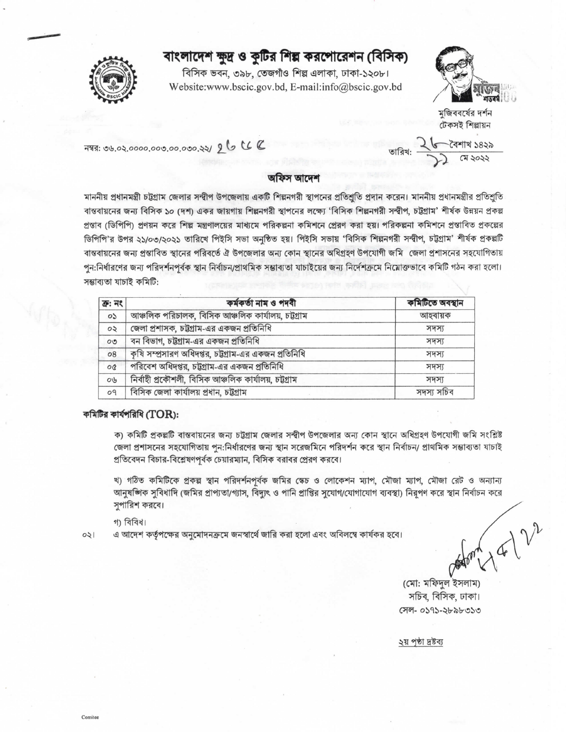## বাংলাদেশ ক্ষুদ্র ও কৃটির শিল্প করপোরেশন (বিসিক)

বিসিক ভবন, ৩৯৮, তেজগাঁও শিল্প এলাকা, ঢাকা-১২০৮। Website:www.bscic.gov.bd, E-mail:info@bscic.gov.bd



মজিববর্ষের দর্শন টেকসই শিল্পায়ন

বৈশাখ ১৪২৯

नषतः ७५.०२.००००.००७.००.०७०.२२/ 26 CC

## অফিস আদেশ

মাননীয় প্রধানমন্ত্রী চট্টগ্রাম জেলার সম্বীপ উপজেলায় একটি শিল্পনগরী স্থাপনের প্রতিশ্রুতি প্রদান করেন। মাননীয় প্রধানমন্ত্রীর প্রতিশ্রুতি বাস্তবায়নের জন্য বিসিক ১০ (দশ) একর জায়গায় শিল্পনগরী স্থাপনের লক্ষ্যে 'বিসিক শিল্পনগরী সন্দ্বীপ, চট্টগ্রাম' শীর্ষক উন্নয়ন প্রকল্প প্রস্তাব (ডিপিপি) প্রণয়ন করে শিল্প মন্ত্রণালয়ের মাধ্যমে পরিকল্পনা কমিশনে প্রেরণ করা হয়। পরিকল্পনা কমিশনে প্রস্তাবিত প্রকল্পের ডিপিপি'র উপর ২১/০৩/২০২১ তারিখে পিইসি সভা অনুষ্ঠিত হয়। পিইসি সভায় 'বিসিক শিল্পনগরী সন্দ্বীপ, চট্টগ্রাম' শীর্ষক প্রকল্পটি বান্তবায়নের জন্য প্রস্তাবিত স্থানের পরিবর্তে ঐ উপজেলার অন্য কোন স্থানের অধিগ্রহণ উপযোগী জমি জেলা প্রশাসনের সহযোগিতায় পুন:নির্ধারণের জন্য পরিদর্শনপূর্বক স্থান নির্বাচন/প্রাথমিক সম্ভাব্যতা যাচাইয়ের জন্য নির্দেশক্রমে নিম্লোক্তভাবে কমিটি গঠন করা হলো। সম্ভাব্যতা যাচাই কমিটি:

| $\overline{d}$ : নং      | কৰ্মকৰ্তা নাম ও পদবী                                  | কমিটিতে অবস্থান |
|--------------------------|-------------------------------------------------------|-----------------|
| os                       | আঞ্চলিক পরিচালক, বিসিক আঞ্চলিক কার্যালয়, চট্টগ্রাম   | আহবায়ক         |
| $\circ$                  | জেলা প্রশাসক, চট্টগ্রাম-এর একজন প্রতিনিধি             | সদস্য           |
| $\circ\circ$             | বন বিভাগ, চট্টগ্রাম-এর একজন প্রতিনিধি                 | সদস্য           |
| $\overline{08}$          | কৃষি সম্প্রসারণ অধিদপ্তর, চট্টগ্রাম-এর একজন প্রতিনিধি | সদস্য           |
| $\overline{\mathcal{O}}$ | পরিবেশ অধিদপ্তর, চট্টগ্রাম-এর একজন প্রতিনিধি          | সদস্য           |
| Ob                       | নিৰ্বাহী প্ৰকৌশলী, বিসিক আঞ্চলিক কাৰ্যালয়, চট্টগ্ৰাম | সদস্য           |
| 09                       | বিসিক জেলা কাৰ্যালয় প্ৰধান, চট্টগ্ৰাম                | সদস্য সচিব      |

## কমিটির কার্যপরিধি ( $TOR$ ):

ক) কমিটি প্রকল্পটি বাস্তবায়নের জন্য চট্টগ্রাম জেলার সন্দ্বীপ উপজেলার অন্য কোন স্থানে অধিগ্রহণ উপযোগী জমি সংশ্লিষ্ট জেলা প্রশাসনের সহযোগিতায় পুন:নির্ধারণের জন্য স্থান সরেজমিনে পরিদর্শন করে স্থান নির্বাচন/ প্রাথমিক সম্ভাব্যতা যাচাই প্রতিবেদন বিচার-বিশ্লেষণপূর্বক চেয়ারম্যান, বিসিক বরাবর প্রেরণ করবে।

খ) গঠিত কমিটিকে প্রকল্প স্থান পরিদর্শনপূর্বক জমির স্কেচ ও লোকেশন ম্যাপ, মৌজা ম্যাপ, মৌজা রেট ও অন্যান্য আনুষজ্ঞিক সুবিধাদি (জমির প্রাপ্যতা/গ্যাস, বিদ্যুৎ ও পানি প্রাপ্তির সুযোগ/যোগাযোগ ব্যবস্থা) নিরূপণ করে স্থান নির্বাচন করে সপারিশ করবে।

গা বিবিধ।

 $021$ 

Comitee

এ আদেশ কর্তৃপক্ষের অনুমোদনক্রমে জনস্বার্থে জারি করা হলো এবং অবিলম্বে কার্যকর হবে।

(মো: মফিদল ইসলাম) সচিব, বিসিক, ঢাকা। সেল- ০১৭১-২৮৯৮৩১৩

২য় পৃষ্ঠা দ্ৰষ্টব্য